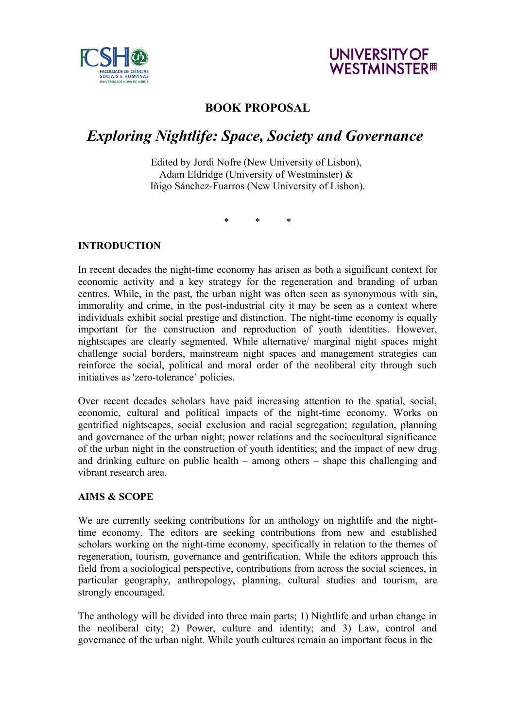



## **BOOK PROPOSAL**

# *Exploring Nightlife: Space, Society and Governance*

Edited by Jordi Nofre (New University of Lisbon), Adam Eldridge (University of Westminster) & Iñigo Sánchez-Fuarros (New University of Lisbon).

\* \* \*

#### **INTRODUCTION**

In recent decades the night-time economy has arisen as both a significant context for economic activity and a key strategy for the regeneration and branding of urban centres. While, in the past, the urban night was often seen as synonymous with sin, immorality and crime, in the post-industrial city it may be seen as a context where individuals exhibit social prestige and distinction. The night-time economy is equally important for the construction and reproduction of youth identities. However, nightscapes are clearly segmented. While alternative/ marginal night spaces might challenge social borders, mainstream night spaces and management strategies can reinforce the social, political and moral order of the neoliberal city through such initiatives as 'zero-tolerance' policies.

Over recent decades scholars have paid increasing attention to the spatial, social, economic, cultural and political impacts of the night-time economy. Works on gentrified nightscapes, social exclusion and racial segregation; regulation, planning and governance of the urban night; power relations and the sociocultural significance of the urban night in the construction of youth identities; and the impact of new drug and drinking culture on public health – among others – shape this challenging and vibrant research area.

### **AIMS & SCOPE**

We are currently seeking contributions for an anthology on nightlife and the nighttime economy. The editors are seeking contributions from new and established scholars working on the night-time economy, specifically in relation to the themes of regeneration, tourism, governance and gentrification. While the editors approach this field from a sociological perspective, contributions from across the social sciences, in particular geography, anthropology, planning, cultural studies and tourism, are strongly encouraged.

The anthology will be divided into three main parts; 1) Nightlife and urban change in the neoliberal city; 2) Power, culture and identity; and 3) Law, control and governance of the urban night. While youth cultures remain an important focus in the